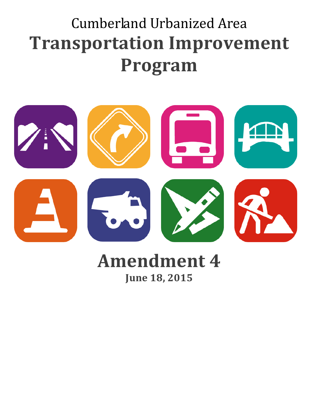## Cumberland Urbanized Area **Transportation Improvement Program**



## **Amendment 4 June 18, 2015**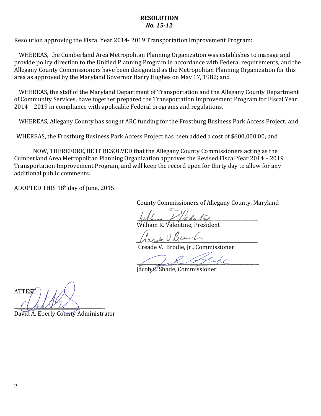## **RESOLUTION** *No. 15-12*

Resolution approving the Fiscal Year 2014- 2019 Transportation Improvement Program:

WHEREAS, the Cumberland Area Metropolitan Planning Organization was establishes to manage and provide policy direction to the Unified Planning Program in accordance with Federal requirements, and the Allegany County Commissioners have been designated as the Metropolitan Planning Organization for this area as approved by the Maryland Governor Harry Hughes on May 17, 1982; and

WHEREAS, the staff of the Maryland Department of Transportation and the Allegany County Department of Community Services, have together prepared the Transportation Improvement Program for Fiscal Year 2014 – 2019 in compliance with applicable Federal programs and regulations.

WHEREAS, Allegany County has sought ARC funding for the Frostburg Business Park Access Project; and

WHEREAS, the Frostburg Business Park Access Project has been added a cost of \$600,000.00; and

NOW, THEREFORE, BE IT RESOLVED that the Allegany County Commissioners acting as the Cumberland Area Metropolitan Planning Organization approves the Revised Fiscal Year 2014 – 2019 Transportation Improvement Program, and will keep the record open for thirty day to allow for any additional public comments.

ADOPTED THIS 18h day of June, 2015.

County Commissioners of Allegany County, Maryland

 $\mu$  then  $f$  faluly William R. Valentine, President

*\_\_\_\_\_\_\_\_\_\_\_\_\_\_\_\_\_\_\_\_\_\_\_\_\_\_\_\_\_\_\_\_\_\_\_\_\_\_\_\_\_\_\_\_\_\_\_\_\_\_\_\_*

Creade V. Brodie, Jr., Commissioner

\_\_\_\_\_\_\_\_\_ *\_*\_\_\_\_\_\_\_\_\_\_\_\_\_\_\_\_\_\_\_\_\_\_\_\_\_\_\_\_\_\_\_\_\_\_\_\_\_\_\_\_\_\_

Jacob C. Shade, Commissioner

ATTEST:  $\overline{(\text{max} \times \vee)}$ 

David A. Eberly Co<del>unt</del>y Administrator